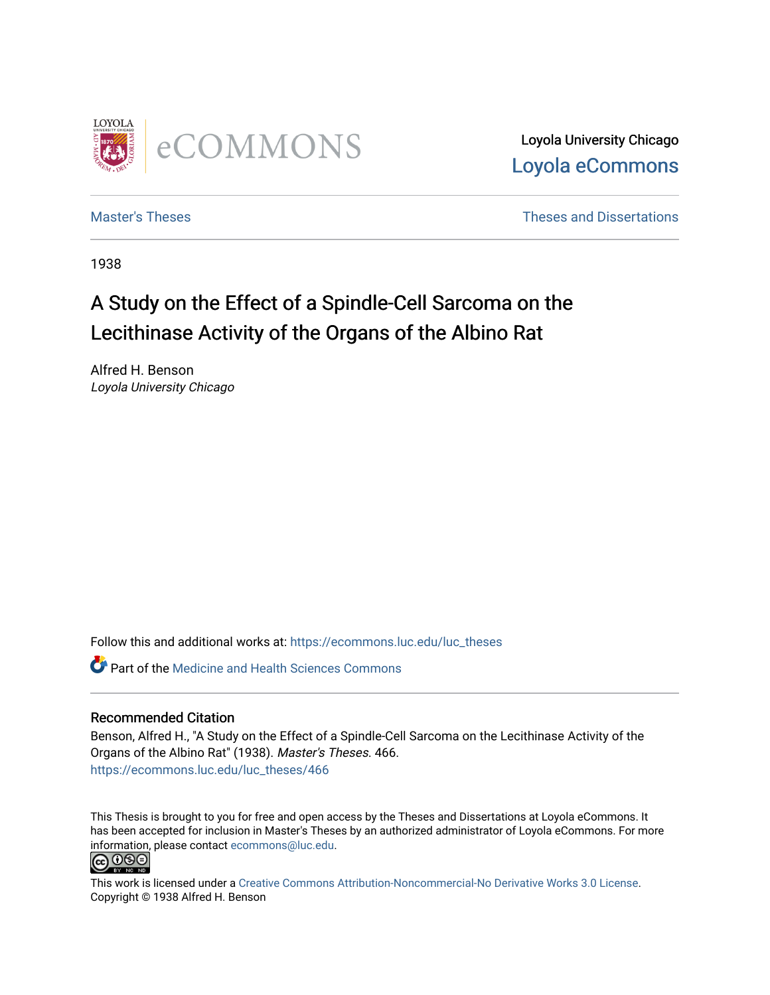

Loyola University Chicago [Loyola eCommons](https://ecommons.luc.edu/) 

[Master's Theses](https://ecommons.luc.edu/luc_theses) **Theses Theses** and Dissertations **Theses** and Dissertations

1938

# A Study on the Effect of a Spindle-Cell Sarcoma on the Lecithinase Activity of the Organs of the Albino Rat

Alfred H. Benson Loyola University Chicago

Follow this and additional works at: [https://ecommons.luc.edu/luc\\_theses](https://ecommons.luc.edu/luc_theses?utm_source=ecommons.luc.edu%2Fluc_theses%2F466&utm_medium=PDF&utm_campaign=PDFCoverPages) 

Part of the [Medicine and Health Sciences Commons](http://network.bepress.com/hgg/discipline/648?utm_source=ecommons.luc.edu%2Fluc_theses%2F466&utm_medium=PDF&utm_campaign=PDFCoverPages) 

## Recommended Citation

Benson, Alfred H., "A Study on the Effect of a Spindle-Cell Sarcoma on the Lecithinase Activity of the Organs of the Albino Rat" (1938). Master's Theses. 466. [https://ecommons.luc.edu/luc\\_theses/466](https://ecommons.luc.edu/luc_theses/466?utm_source=ecommons.luc.edu%2Fluc_theses%2F466&utm_medium=PDF&utm_campaign=PDFCoverPages) 

This Thesis is brought to you for free and open access by the Theses and Dissertations at Loyola eCommons. It has been accepted for inclusion in Master's Theses by an authorized administrator of Loyola eCommons. For more information, please contact [ecommons@luc.edu.](mailto:ecommons@luc.edu)<br> **@ 099** 



This work is licensed under a [Creative Commons Attribution-Noncommercial-No Derivative Works 3.0 License.](https://creativecommons.org/licenses/by-nc-nd/3.0/) Copyright © 1938 Alfred H. Benson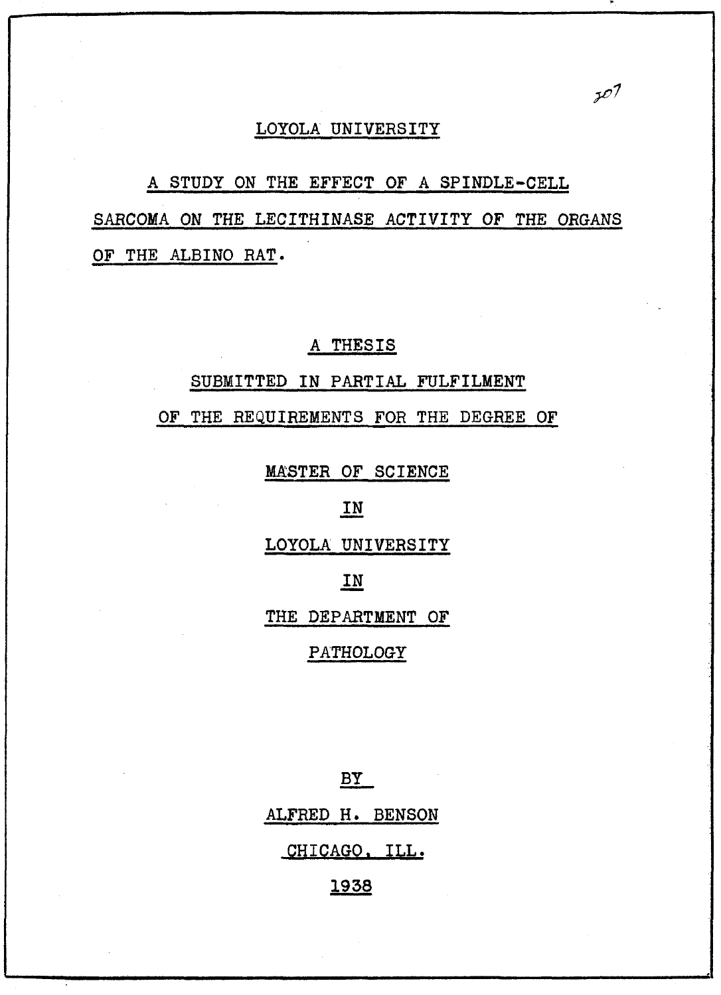### LOYOLA UNIVERSITY

 $507$ 

A STUDY ON THE EFFECT OF A SPINDLE-CELL SARCOMA ON THE LECITHINASE ACTIVITY OF THE ORGANS OF THE ALBINO RAT.

## A THESIS

## SUBMITTED IN PARTIAL FULFILMENT

OF THE REQUIREMENTS FOR THE DEGREE OF

MASTER OF SCIENCE

## IN

LOYOLA UNIVERSITY

## IN

THE DEPARTMENT OF

#### PATHOLOGY

 $BY$ ALFRED H. BENSON CHICAGO. ILL.

1938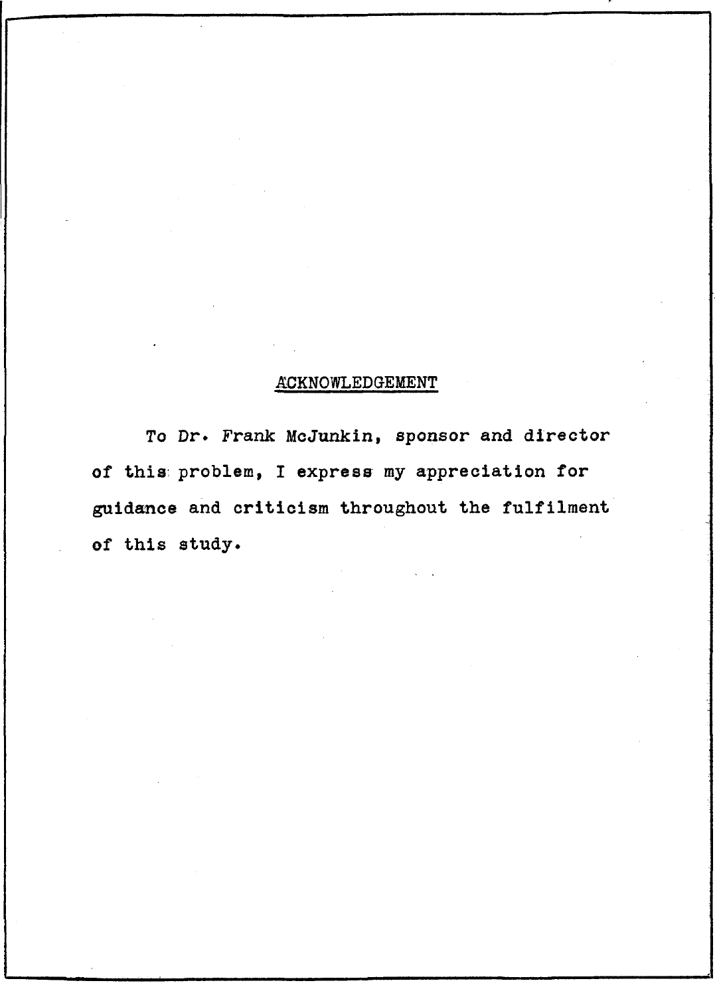## **ACKNOWLEDGEMENT**

To Dr. Frank McJunkin, sponsor and director of this problem, I express my appreciation for guidance and criticism throughout the fulfilment of this study.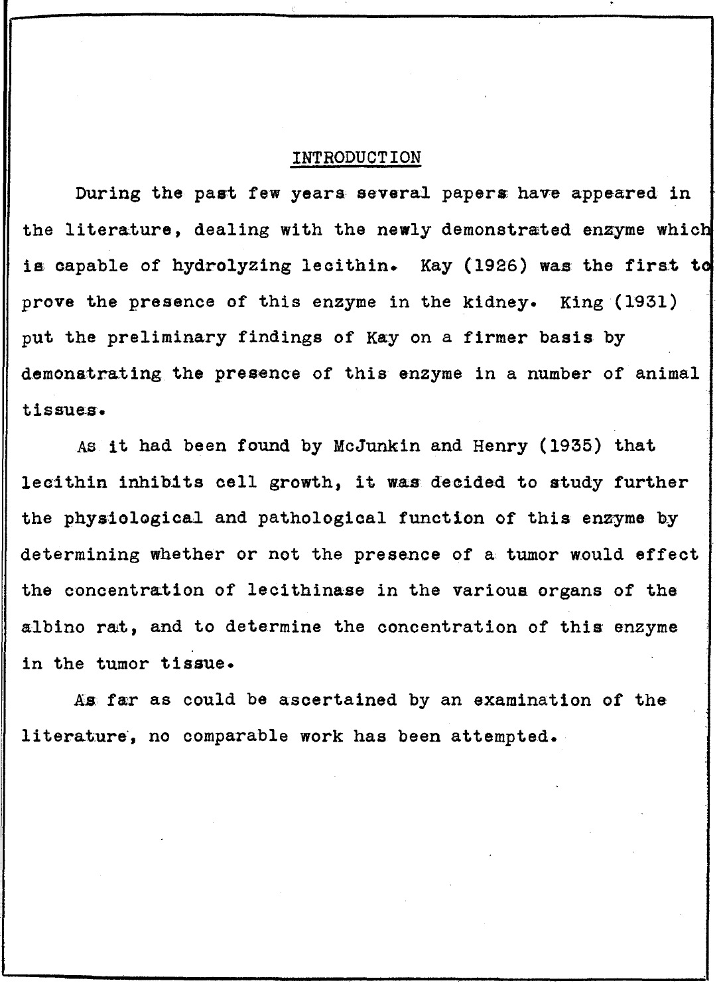## INTRODUCTION

During the past few years several papers; have appeared in the literature, dealing with the newly demonstrated enzyme which is capable of hydrolyzing lecithin. Kay (1926) was the first to prove the presence of this enzyme in the kidney. King (1931) put the preliminary findings of Kay on a firmer basis by demonstrating the presence of this enzyme in a number of animal tissues.

As it had been found by McJunkin and Henry (1935) that lecithin inhibits cell growth, it was decided to study further the phyaiological and pathological function of this enzyme by determining whether or not the presence of a tumor would effect the concentration of lecithinase in the various organs of the albino rat, and to determine the concentration of this enzyme in the tumor tissue.

As far as could be ascertained by an examination of the Ii terature', no comparable work has been attempted.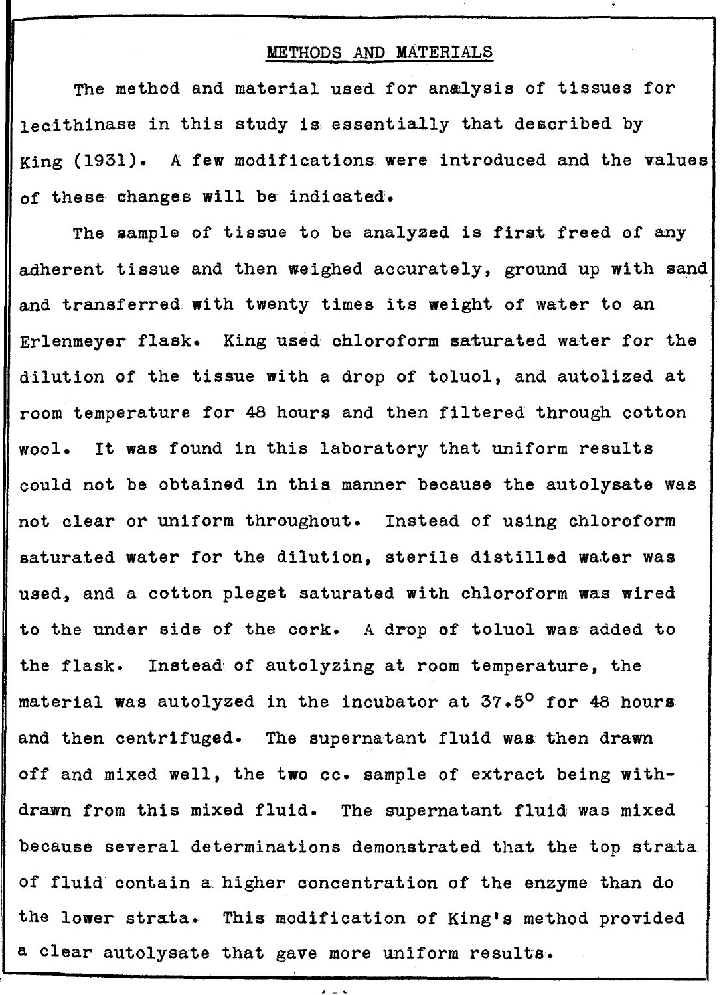#### METHODS AND MATERIALS

The method and material used for analysis of tissues for lecithinase in this study is essentially that described by King (1931). A few modifications. were introduced and the values of these changes will be indicated.

The sample of tissue to be analyzed is first freed of any adherent tissue and then weighed accurately, ground up with sand and transferred with twenty times its weight of water to an Erlenmeyer flask. King used chloroform saturated water for the dilution of the tissue with a drop of toluol, and autolized at room temperature for 48 hours and then filtered through cotton wool. It was found in this laboratory that uniform results could not be obtained in this manner because the autolysate was not clear or uniform throughout. Instead of using chloroform saturated water for the dilution, sterile distilled water was used, and a cotton pleget saturated with chloroform was wired to the under side of the cork. A drop of toluol was added to the flask. Instead' of autolyzing at room temperature, the material was autolyzed in the incubator at 37.5<sup>0</sup> for 48 hours and then centrifuged. The supernatant fluid was then drawn off and mixed well, the two cc. sample of extract being withdrawn from this mixed fluid. The supernatant fluid was mixed because several determinations demonstrated that the top strata of fluid contain a higher concentration of the enzyme than do the lower strata. This modification of King's method provided a clear autolysate that gave more uniform results.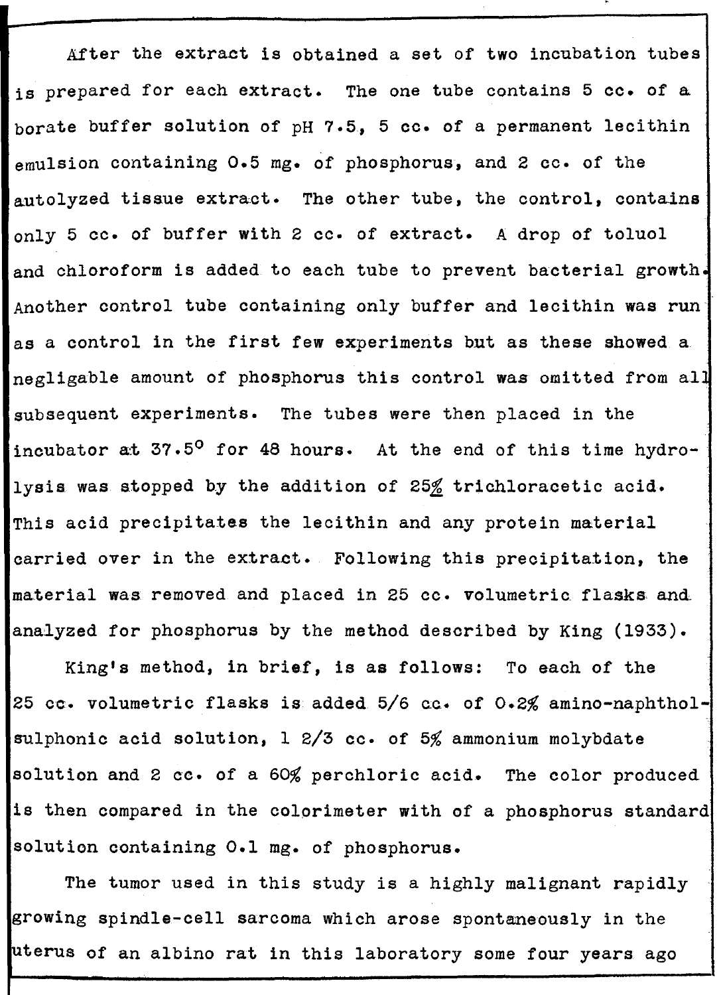After the extraet is obtained a set of two incubation tubes is prepared for each extract. The one tube contains 5 cc. of a borate buffer solution of pH 7.5, 5 cc. of a permanent lecithin emulsion containing 0.5 mg. of phosphorus, and 2 cc. of the autolyzed tissue extract. The other tube, the control, contains only 5 cc. of buffer with 2 cc. of extract. A drop of toluol and chloroform is added to each tube to prevent bacterial growth. Another control tube containing only buffer and lecithin was run·' as a control in the first few experiments but as these showed a negligable amount of phosphorus this control was omitted from all subsequent experiments. The tubes were then placed in the incubator at  $37.5^{\circ}$  for 48 hours. At the end of this time hydrolysis was stopped by the addition of 25% trichloracetic acid. This acid precipitates the lecithin and any protein material carried over in the extraet. Following this precipitation, the material was removed and placed in 25 cc. volumetric flasks and analyzed for phosphorus by the method described by King (1933).

King's method, in brief, is as follows: To each of the 25 cc. volumetric flasks is added  $5/6$  cc. of  $0.2%$  amino-naphtholsulphonic acid solution,  $12/3$  cc. of 5% ammonium molybdate solution and 2 cc. of a 60% perchloric acid. The color produced is then compared in the colorimeter with of a phosphorus standard solution containing 0.1 mg. of phosphorus.

The tumor used in this study is a highly malignant rapidly growing spindle-cell sarcoma which arose spontaneously in the uterus of an albino rat in this laboratory some four years ago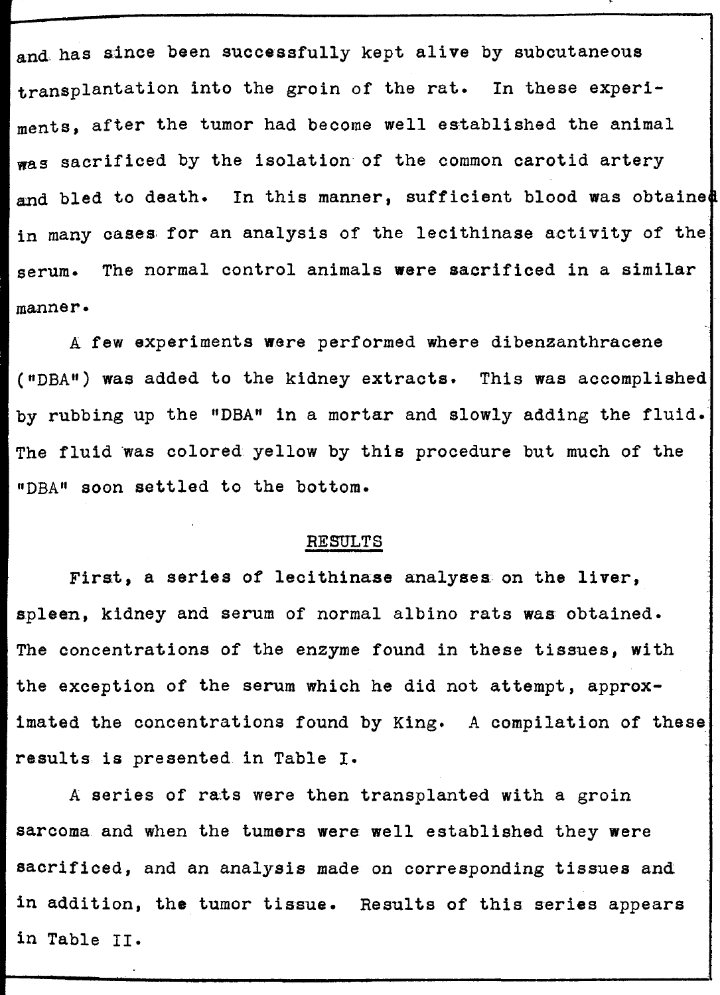and. has since been successfully kept alive by subcutaneous transplantation into the groin of the rat. In these experiments, after the tumor had become well established the animal was sacrificed by the isolation of the common carotid artery and bled to death. In this manner, sufficient blood was obtained in many cases for an analysis of the lecithinase activity of the serum. The normal control animals were sacrificed in a similar manner.

A few experiments were performed where dibenzanthracene ("DBA") was added to the kidney extracts. This was accomplished by rubbing up the "DBA" in a mortar and slowly adding the fluid. The fluid was colored yellow by this procedure but much of the "DBA" soon settled to the bottom.

#### RESULTS

First, a series of lecithinase analyses on the liver, spleen, kidney and serum of normal albino rats was obtained. The concentrations of the enzyme found in these tissues, with the exception of the serum which he did not attempt, approximated the concentrations found by King. A compilation of these results is presented in Table I.

A series of rats were then transplanted with a groin sarcoma and when the tumers were well established they were sacrificed, and an analysis made on corresponding tissues and in addition, the tumor tissue. Results of this series appears in Table II.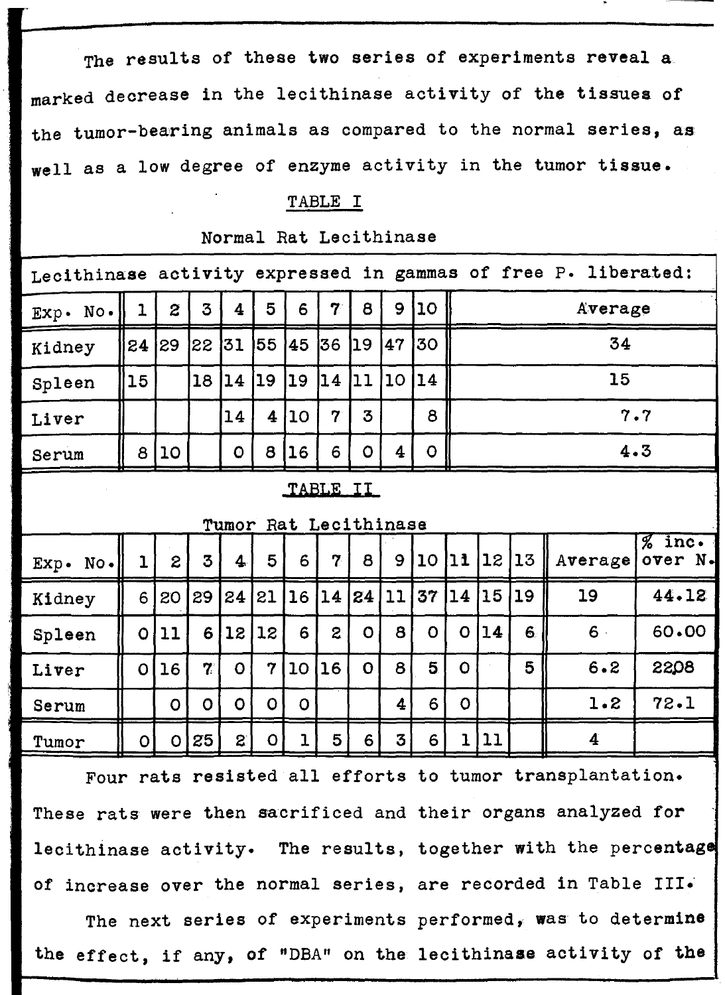The results of these two series of experiments reveal a marked decrease in the lecithinase activity of the tissues of the tumor-bearing animals as compared to the normal series, as well as a low degree of enzyme activity in the tumor tissue.

#### TABLE I

| Lecithinase activity expressed in gammas of free P. liberated: |              |              |                      |                         |             |                 |                |              |    |                 |             |         |    |         |                     |  |
|----------------------------------------------------------------|--------------|--------------|----------------------|-------------------------|-------------|-----------------|----------------|--------------|----|-----------------|-------------|---------|----|---------|---------------------|--|
| Exp. No.                                                       | 1            | $\mathbf{z}$ | 3                    | $\overline{\mathbf{4}}$ | 5           | 6               | 7              | 8            | 9  | 10 <sub>1</sub> |             | Average |    |         |                     |  |
| Kidney                                                         | 24           | 29           | 22                   | 31                      | 155         | 45              | 36             | <u> 19</u>   | 47 | 30              |             | 34      |    |         |                     |  |
| Spleen                                                         | 15           |              | 18                   | 14                      | 19          | 19              | 14             | 11           | 10 | 14              |             | 15      |    |         |                     |  |
| Liver                                                          |              |              |                      | 14                      | 4           | 10 <sup>°</sup> | $\overline{7}$ | 3            |    | 8               |             | 7.7     |    |         |                     |  |
| Serum                                                          | 8            | <b>10</b>    |                      | $\circ$                 | 8           | 16              | 6              | $\circ$      | 4  | $\mathbf O$     |             | 4.3     |    |         |                     |  |
| TABLE II                                                       |              |              |                      |                         |             |                 |                |              |    |                 |             |         |    |         |                     |  |
| Tumor Rat Lecithinase                                          |              |              |                      |                         |             |                 |                |              |    |                 |             |         |    |         |                     |  |
| Exp. No.                                                       | $\mathbf{1}$ | $\mathbf{z}$ | 3                    | $\overline{\mathbf{4}}$ | 5           | 6               | 7              | 8            | 9  | 10 <sup>°</sup> | $11$        | 12   13 |    | Average | $%$ inc.<br>over N. |  |
| Kidney                                                         | 6            | 20           | 29                   | 24                      | 21          | 16              |                | 14 24        | 11 | 37              | 14          | 15      | 19 | 19      | 44.12               |  |
| Spleen                                                         | $\mathbf 0$  | 11           | 6                    | 12                      | 12          | 6               | $\mathbf{2}$   | $\mathbf O$  | 8  | $\Omega$        | $\Omega$    | 14      | 6  | $6 -$   | 60.00               |  |
| Liver                                                          | $\mathbf O$  | 16           | $\mathbf{7}^{\circ}$ | $\mathbf{o}$            | $\mathbf 7$ | 10 <sub>1</sub> | 16             | $\mathbf{o}$ | 8  | 5.              | $\mathbf O$ |         | 5  | 6.2     | 2208                |  |
| Serum                                                          |              | $\mathbf O$  | $\Omega$             | $\mathbf{o}$            | $\Omega$    | $\mathbf O$     |                |              | 4  | 6               | $\mathbf O$ |         |    | 1.2     | 72.1                |  |
| Tumor                                                          | $\circ$      | $\circ$      | 25                   | $\mathbf{S}$            | $\mathbf O$ | ı               | 5              | 6            | 3  | 6               | ı           | 11      |    | 4       |                     |  |

Normal Rat Lecithinase

..

Four rats resisted all efforts to tumor transplantation. These rats were then sacrificed and their organs analyzed for lecithinase activity. The results, together with the percentage of increase over the normal series, are recorded in Table III.

The next series of experiments performed, was to determine the effect, if any, of "DBA" on the lecithinase activity of the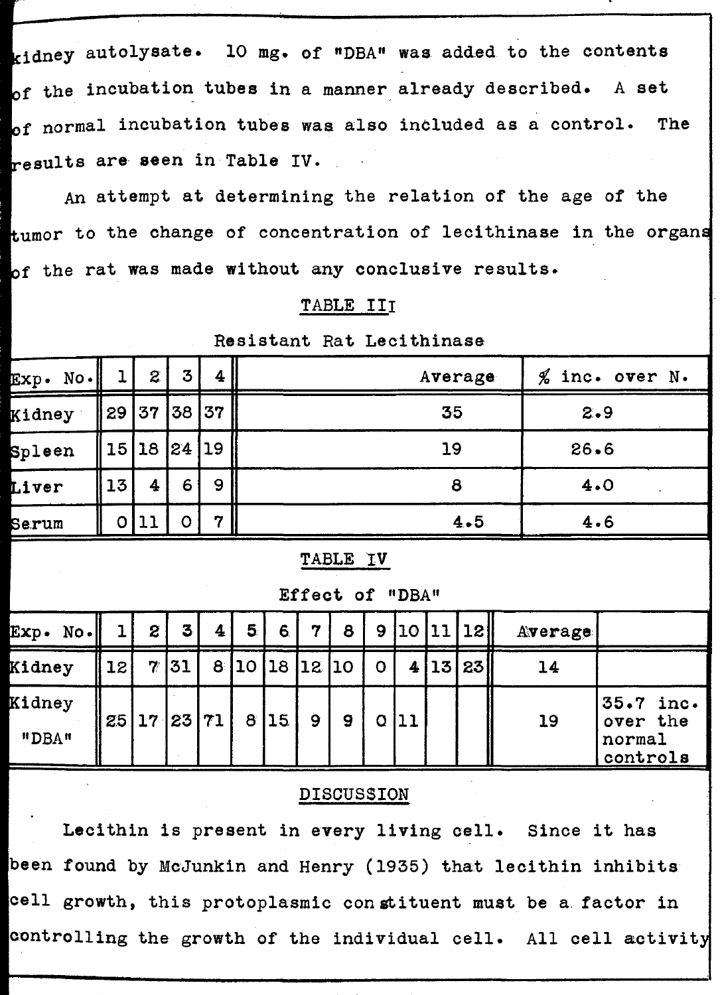kidney autolysate. 10 mg. of "DBA" was added to the contents of the incubation tubes in a manner already described. A set of normal incubation tubes was also included as a control. The results are seen in Table IV.

,

An attempt at determining the relation of the age of the tumor to the change of concentration of lecithinase in the organs of the rat was made without any conclusive results.

#### TABLE III

Resistant Rat Lecithinase

| $Exp.$ No. |    | $\mathbf{z}$            | 3 <sub>1</sub> | 4  | Average | $%$ inc. over N. |
|------------|----|-------------------------|----------------|----|---------|------------------|
| Kidney     |    | $\parallel$ 29 37 38 37 |                |    | 35      | 2.9              |
| Spleen     |    | 15   18   24   19       |                |    | 19      | 26.6             |
| Liver      | 13 | 4                       | 6.             | 9  | 8       | 4.0              |
| Serum      |    |                         |                | 77 | 4.5     | 4.6              |

TABLE IV

Effect of "DBA"

| Exp. No.        |    | $\mathbf{z}$               | 3 <sub>l</sub> | $\overline{\mathbf{4}}$ | 5 <sup>1</sup> | 6 | 77            | 8 |      |      | 9 10 11 18 | Average |                                                |
|-----------------|----|----------------------------|----------------|-------------------------|----------------|---|---------------|---|------|------|------------|---------|------------------------------------------------|
| Kidney          | 12 |                            | 7/31           |                         |                |   | 8 10 18 12 10 |   |      | 4 13 | 23         | 14      |                                                |
| Kidney<br>"DBA" |    | 25   17   23   71   8   15 |                |                         |                |   | 9             | 9 | Q 11 |      |            | 19      | $ 35.7$ inc.<br>over the<br>normal<br>controls |

#### DISCUSSION

Lecithin is present in every living cell. Since it has been found by McJunkin and Henry (1935) that lecithin inhibits cell growth, this protoplasmic constituent must be a factor in controlling the growth of the individual cell. All cell activity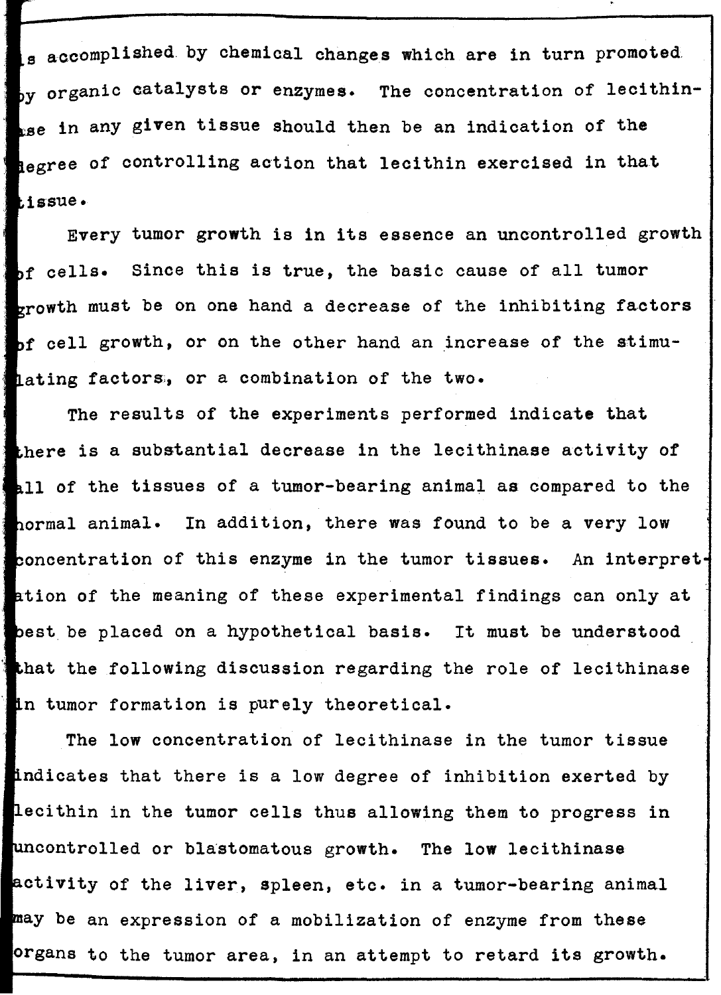is accomplished by chemical changes which are in turn promoted  $_{\text{by}}$  organic catalysts or enzymes. The concentration of lecithin- $_{\texttt{LSE}}$  in any given tissue should then be an indication of the hegree of controlling action that lecithin exercised in that ~lssue •

Every tumor growth is in its essence an uncontrolled growth bf cells. Since this is true, the basic cause of all tumor growth must be on one hand a decrease of the inhibiting factors of cell growth, or on the other hand an increase of the stimulating factors, or a combination of the two.

The results of the eXperiments performed indicate that there is a substantial decrease in the lecithinase activity of all of the tissues of a tumor-bearing animal as compared to the hormal animal. In addition, there was found to be a very low concentration of this enzyme in the tumor tissues. An interpretation of the meaning of these experimental findings can only at best be placed on a hypothetical basis. It must be understood that the following discussion regarding the role of lecithinase in tumor formation is purely theoretical.

The low concentration of lecithinase in the tumor tissue indicates that there is a low degree of inhibition exerted by lecithin in the tumor cells thus allowing them to progress in uncontrolled or blastomatous growth. The low lecithinase activity of the liver, spleen, etc. in a tumor-bearing animal may be an expression of a mobilization of enzyme from these organs to the tumor area, in an attempt to retard its growth.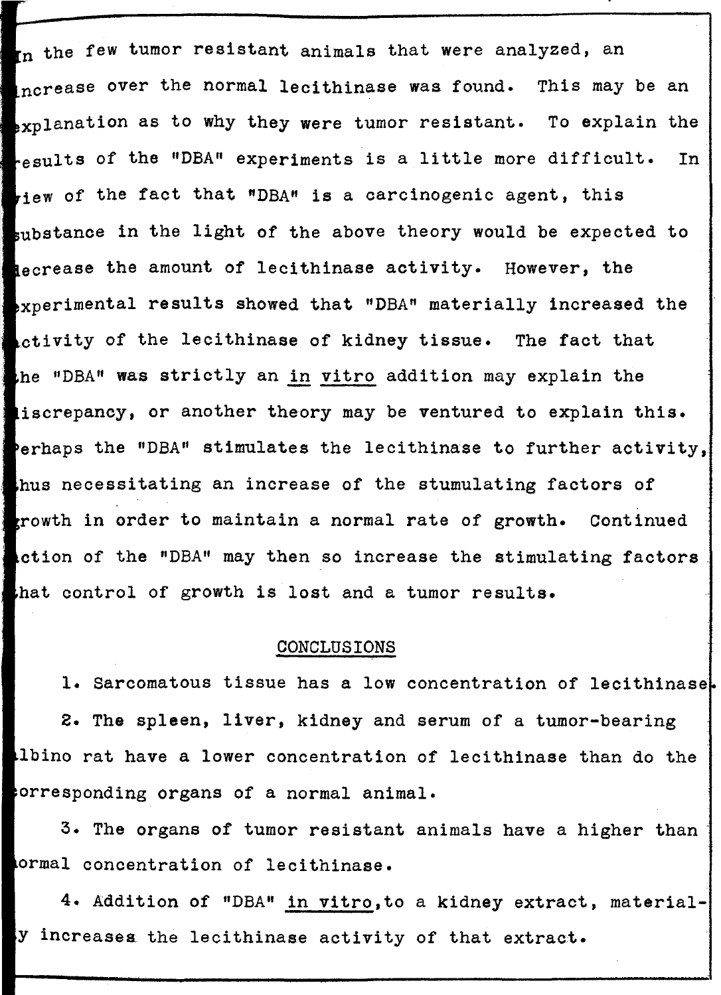In the few tumor resistant animals that were analyzed, an ncrease over the normal lecithinase was found. This may be an  $\epsilon_{\text{xp}}$ lanation as to why they were tumor resistant. To explain the esults of the "DBA" experiments is a little more difficult. In riew of the fact that "DBA" is a carcinogenic agent, this substance in the light of the above theory would be expected to **Recrease the amount of lecithinase activity.** However, the **Experimental results showed that "DBA" materially increased the** ctivity of the lecithinase of kidney tissue. The fact that he "DBA" was strictly an in vitro addition may explain the iscrepancy, or another theory may be ventured to explain this. erhaps the "DBA" stimulates the lecithinase to further activity, hus necessitating an increase of the stumulating factors of **Execution in order to maintain a normal rate of growth.** Continued ction of the "DBA" may then so increase the stimulating factors. hat control of growth is lost and a tumor results.

#### CONCLUSIONS

1. Sarcomatous tissue has a low concentration of lecithinase 2. The spleen, liver, kidney and serum of a tumor-bearing Ibino rat have a lower concentration of lecithinase than do the orresponding organs of a normal animal.

3. The organs of tumor resistant animals have a higher than· ormal concentration of lecithinase.

4. Addition of "DBA" in vitro,to a kidney extract, materialy increases. the lecithinase activity of that extract.